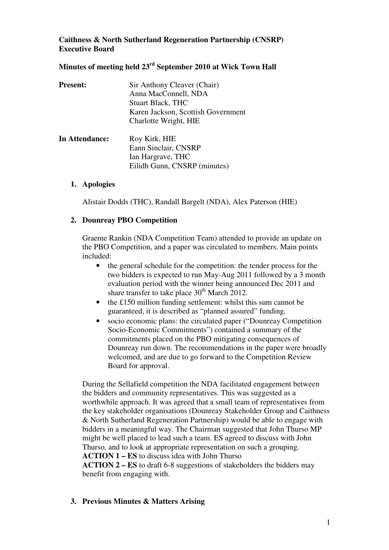## **Caithness & North Sutherland Regeneration Partnership (CNSRP) Executive Board**

## **Minutes of meeting held 23rd September 2010 at Wick Town Hall**

| <b>Present:</b> | Sir Anthony Cleaver (Chair)<br>Anna MacConnell, NDA<br><b>Stuart Black, THC</b><br>Karen Jackson, Scottish Government<br>Charlotte Wright, HIE |
|-----------------|------------------------------------------------------------------------------------------------------------------------------------------------|
| In Attendance:  | Roy Kirk, HIE<br>Eann Sinclair, CNSRP<br>Ian Hargrave, THC<br>Eilidh Gunn, CNSRP (minutes)                                                     |

### **1. Apologies**

Alistair Dodds (THC), Randall Bargelt (NDA), Alex Paterson (HIE)

### **2. Dounreay PBO Competition**

Graeme Rankin (NDA Competition Team) attended to provide an update on the PBO Competition, and a paper was circulated to members. Main points included:

- the general schedule for the competition: the tender process for the two bidders is expected to run May-Aug 2011 followed by a 3 month evaluation period with the winner being announced Dec 2011 and share transfer to take place  $30<sup>th</sup>$  March 2012.
- the £150 million funding settlement: whilst this sum cannot be guaranteed, it is described as "planned assured" funding.
- socio economic plans: the circulated paper ("Dounreay Competition Socio-Economic Commitments") contained a summary of the commitments placed on the PBO mitigating consequences of Dounreay run down. The recommendations in the paper were broadly welcomed, and are due to go forward to the Competition Review Board for approval.

During the Sellafield competition the NDA facilitated engagement between the bidders and community representatives. This was suggested as a worthwhile approach. It was agreed that a small team of representatives from the key stakeholder organisations (Dounreay Stakeholder Group and Caithness & North Sutherland Regeneration Partnership) would be able to engage with bidders in a meaningful way. The Chairman suggested that John Thurso MP might be well placed to lead such a team. ES agreed to discuss with John Thurso, and to look at appropriate representation on such a grouping. **ACTION 1 – ES** to discuss idea with John Thurso **ACTION 2 – ES** to draft 6-8 suggestions of stakeholders the bidders may

benefit from engaging with.

## **3. Previous Minutes & Matters Arising**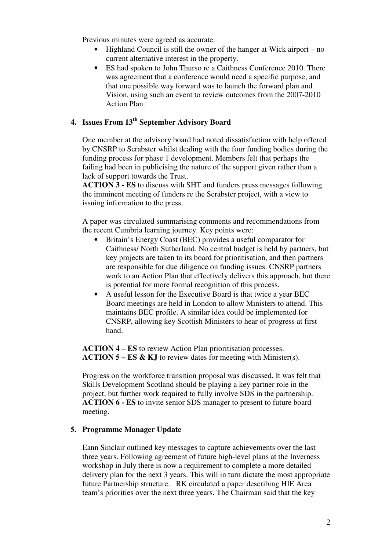Previous minutes were agreed as accurate.

- Highland Council is still the owner of the hanger at Wick airport no current alternative interest in the property.
- ES had spoken to John Thurso re a Caithness Conference 2010. There was agreement that a conference would need a specific purpose, and that one possible way forward was to launch the forward plan and Vision, using such an event to review outcomes from the 2007-2010 Action Plan.

# **4. Issues From 13th September Advisory Board**

One member at the advisory board had noted dissatisfaction with help offered by CNSRP to Scrabster whilst dealing with the four funding bodies during the funding process for phase 1 development. Members felt that perhaps the failing had been in publicising the nature of the support given rather than a lack of support towards the Trust.

**ACTION 3 - ES** to discuss with SHT and funders press messages following the imminent meeting of funders re the Scrabster project, with a view to issuing information to the press.

A paper was circulated summarising comments and recommendations from the recent Cumbria learning journey. Key points were:

- Britain's Energy Coast (BEC) provides a useful comparator for Caithness/ North Sutherland. No central budget is held by partners, but key projects are taken to its board for prioritisation, and then partners are responsible for due diligence on funding issues. CNSRP partners work to an Action Plan that effectively delivers this approach, but there is potential for more formal recognition of this process.
- A useful lesson for the Executive Board is that twice a year BEC Board meetings are held in London to allow Ministers to attend. This maintains BEC profile. A similar idea could be implemented for CNSRP, allowing key Scottish Ministers to hear of progress at first hand.

**ACTION 4 – ES** to review Action Plan prioritisation processes. **ACTION 5 – ES & KJ** to review dates for meeting with Minister(s).

Progress on the workforce transition proposal was discussed. It was felt that Skills Development Scotland should be playing a key partner role in the project, but further work required to fully involve SDS in the partnership. **ACTION 6 - ES** to invite senior SDS manager to present to future board meeting.

#### **5. Programme Manager Update**

Eann Sinclair outlined key messages to capture achievements over the last three years. Following agreement of future high-level plans at the Inverness workshop in July there is now a requirement to complete a more detailed delivery plan for the next 3 years. This will in turn dictate the most appropriate future Partnership structure. RK circulated a paper describing HIE Area team's priorities over the next three years. The Chairman said that the key